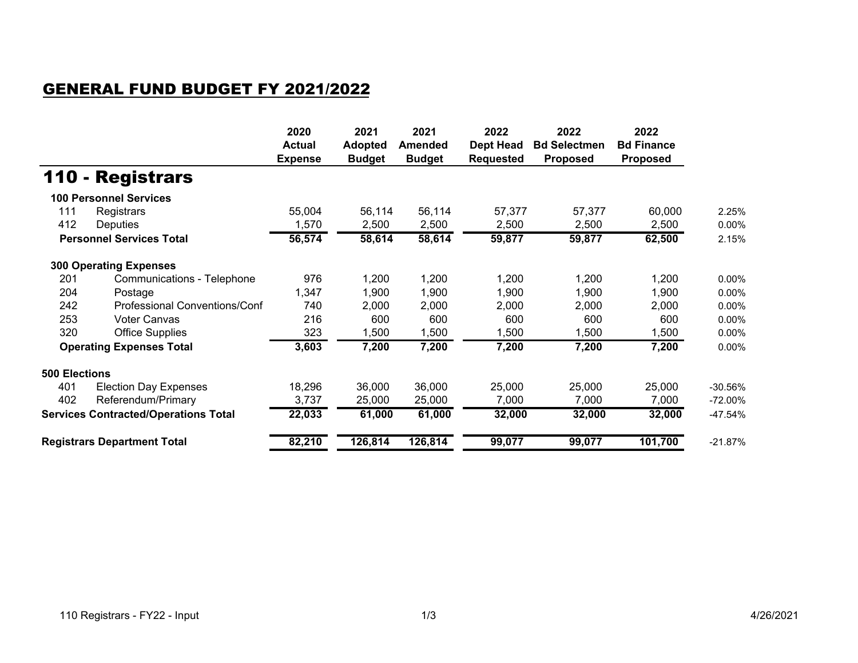## GENERAL FUND BUDGET FY 2021/2022

|                                             |                               | 2020<br><b>Actual</b><br><b>Expense</b> | 2021<br><b>Adopted</b><br><b>Budget</b> | 2021<br><b>Amended</b><br><b>Budget</b> | 2022<br><b>Dept Head</b><br><b>Requested</b> | 2022<br><b>Bd Selectmen</b><br><b>Proposed</b> | 2022<br><b>Bd Finance</b><br><b>Proposed</b> |           |
|---------------------------------------------|-------------------------------|-----------------------------------------|-----------------------------------------|-----------------------------------------|----------------------------------------------|------------------------------------------------|----------------------------------------------|-----------|
|                                             | 110 - Registrars              |                                         |                                         |                                         |                                              |                                                |                                              |           |
|                                             | <b>100 Personnel Services</b> |                                         |                                         |                                         |                                              |                                                |                                              |           |
| 111                                         | Registrars                    |                                         | 56,114                                  | 56,114                                  | 57,377                                       | 57,377                                         | 60,000                                       | 2.25%     |
| 412                                         | Deputies                      | 1,570                                   | 2,500                                   | 2,500                                   | 2,500                                        | 2,500                                          | 2,500                                        | 0.00%     |
| <b>Personnel Services Total</b>             |                               | 56,574                                  | 58,614                                  | 58,614                                  | 59,877                                       | 59,877                                         | 62,500                                       | 2.15%     |
|                                             | <b>300 Operating Expenses</b> |                                         |                                         |                                         |                                              |                                                |                                              |           |
| 201                                         | Communications - Telephone    | 976                                     | 1,200                                   | 1,200                                   | 1,200                                        | 1,200                                          | 1,200                                        | 0.00%     |
| 204                                         | Postage                       | 1,347                                   | 1,900                                   | 1,900                                   | 1,900                                        | 1,900                                          | 1,900                                        | 0.00%     |
| 242                                         | Professional Conventions/Conf | 740                                     | 2,000                                   | 2,000                                   | 2,000                                        | 2,000                                          | 2,000                                        | 0.00%     |
| 253                                         | <b>Voter Canvas</b>           | 216                                     | 600                                     | 600                                     | 600                                          | 600                                            | 600                                          | 0.00%     |
| 320                                         | <b>Office Supplies</b>        | 323                                     | 1,500                                   | 1,500                                   | 1,500                                        | 1,500                                          | 1,500                                        | 0.00%     |
| <b>Operating Expenses Total</b>             |                               | 3,603                                   | 7,200                                   | 7,200                                   | 7,200                                        | 7,200                                          | 7,200                                        | 0.00%     |
| <b>500 Elections</b>                        |                               |                                         |                                         |                                         |                                              |                                                |                                              |           |
| 401                                         | <b>Election Day Expenses</b>  | 18,296                                  | 36,000                                  | 36,000                                  | 25,000                                       | 25,000                                         | 25,000                                       | -30.56%   |
| 402                                         | Referendum/Primary            | 3,737                                   | 25,000                                  | 25,000                                  | 7,000                                        | 7,000                                          | 7,000                                        | $-72.00%$ |
| <b>Services Contracted/Operations Total</b> |                               | 22,033                                  | 61,000                                  | 61,000                                  | 32,000                                       | 32,000                                         | 32,000                                       | $-47.54%$ |
| <b>Registrars Department Total</b>          |                               | 82,210                                  | 126,814                                 | 126,814                                 | 99,077                                       | 99,077                                         | 101,700                                      | $-21.87%$ |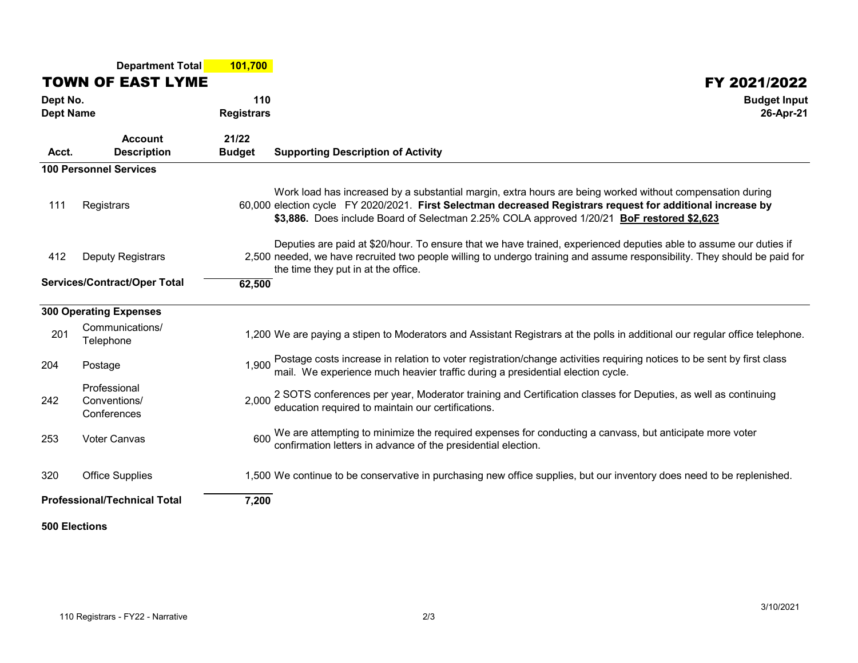|                                     | <b>Department Total</b>                     | 101,700                  |                                                                                                                                                                                                                                                                                                                       |
|-------------------------------------|---------------------------------------------|--------------------------|-----------------------------------------------------------------------------------------------------------------------------------------------------------------------------------------------------------------------------------------------------------------------------------------------------------------------|
|                                     | <b>TOWN OF EAST LYME</b>                    |                          | FY 2021/2022                                                                                                                                                                                                                                                                                                          |
| Dept No.<br><b>Dept Name</b>        |                                             | 110<br><b>Registrars</b> | <b>Budget Input</b><br>26-Apr-21                                                                                                                                                                                                                                                                                      |
| Acct.                               | <b>Account</b><br><b>Description</b>        | 21/22<br><b>Budget</b>   | <b>Supporting Description of Activity</b>                                                                                                                                                                                                                                                                             |
|                                     | <b>100 Personnel Services</b>               |                          |                                                                                                                                                                                                                                                                                                                       |
| 111                                 | Registrars                                  |                          | Work load has increased by a substantial margin, extra hours are being worked without compensation during<br>60,000 election cycle FY 2020/2021. First Selectman decreased Registrars request for additional increase by<br>\$3,886. Does include Board of Selectman 2.25% COLA approved 1/20/21 BoF restored \$2,623 |
| 412                                 | Deputy Registrars                           |                          | Deputies are paid at \$20/hour. To ensure that we have trained, experienced deputies able to assume our duties if<br>2,500 needed, we have recruited two people willing to undergo training and assume responsibility. They should be paid for<br>the time they put in at the office.                                 |
|                                     | <b>Services/Contract/Oper Total</b>         | 62,500                   |                                                                                                                                                                                                                                                                                                                       |
|                                     | <b>300 Operating Expenses</b>               |                          |                                                                                                                                                                                                                                                                                                                       |
| 201                                 | Communications/<br>Telephone                |                          | 1,200 We are paying a stipen to Moderators and Assistant Registrars at the polls in additional our regular office telephone.                                                                                                                                                                                          |
| 204                                 | Postage                                     |                          | 1,900 Postage costs increase in relation to voter registration/change activities requiring notices to be sent by first class 1,900 mail. We experience much heavier traffic during a presidential election cycle.                                                                                                     |
| 242                                 | Professional<br>Conventions/<br>Conferences | 2,000                    | 2 SOTS conferences per year, Moderator training and Certification classes for Deputies, as well as continuing<br>education required to maintain our certifications.                                                                                                                                                   |
| 253                                 | <b>Voter Canvas</b>                         | 600                      | We are attempting to minimize the required expenses for conducting a canvass, but anticipate more voter confirmation letters in advance of the presidential election.                                                                                                                                                 |
| 320                                 | <b>Office Supplies</b>                      |                          | 1,500 We continue to be conservative in purchasing new office supplies, but our inventory does need to be replenished.                                                                                                                                                                                                |
| <b>Professional/Technical Total</b> |                                             | 7,200                    |                                                                                                                                                                                                                                                                                                                       |
| 500 Elections                       |                                             |                          |                                                                                                                                                                                                                                                                                                                       |